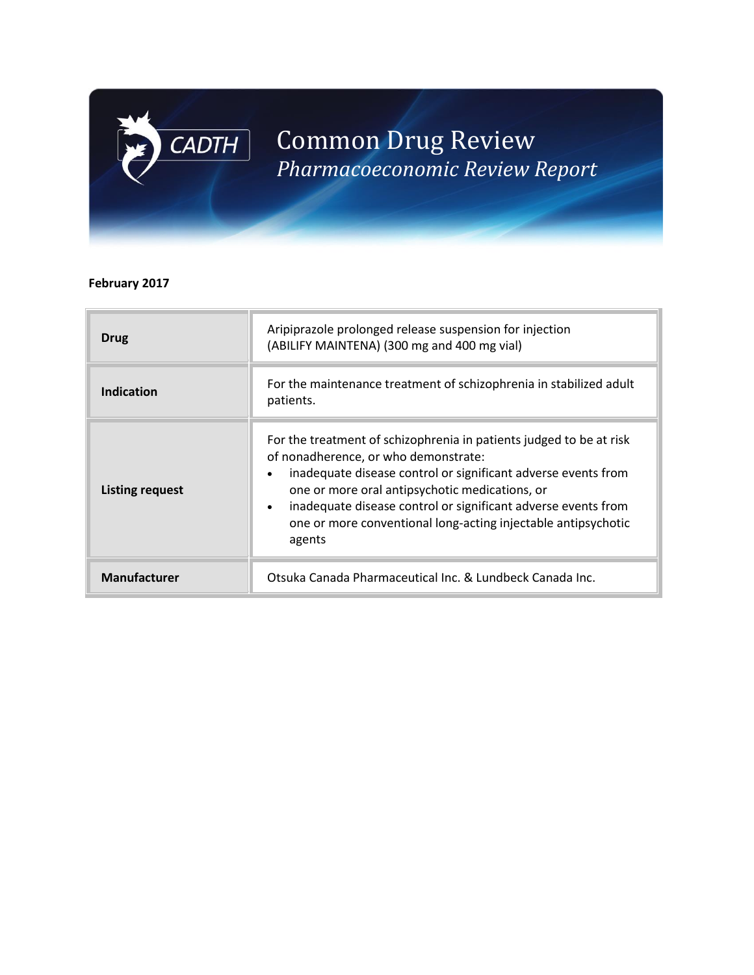# Common Drug Review *Pharmacoeconomic Review Report*

#### **February 2017**

 $\boxed{\mathsf{CADTH}}$ 

| <b>Drug</b>            | Aripiprazole prolonged release suspension for injection<br>(ABILIFY MAINTENA) (300 mg and 400 mg vial)                                                                                                                                                                                                                                                                                  |
|------------------------|-----------------------------------------------------------------------------------------------------------------------------------------------------------------------------------------------------------------------------------------------------------------------------------------------------------------------------------------------------------------------------------------|
| Indication             | For the maintenance treatment of schizophrenia in stabilized adult<br>patients.                                                                                                                                                                                                                                                                                                         |
| <b>Listing request</b> | For the treatment of schizophrenia in patients judged to be at risk<br>of nonadherence, or who demonstrate:<br>inadequate disease control or significant adverse events from<br>one or more oral antipsychotic medications, or<br>inadequate disease control or significant adverse events from<br>$\bullet$<br>one or more conventional long-acting injectable antipsychotic<br>agents |
| <b>Manufacturer</b>    | Otsuka Canada Pharmaceutical Inc. & Lundbeck Canada Inc.                                                                                                                                                                                                                                                                                                                                |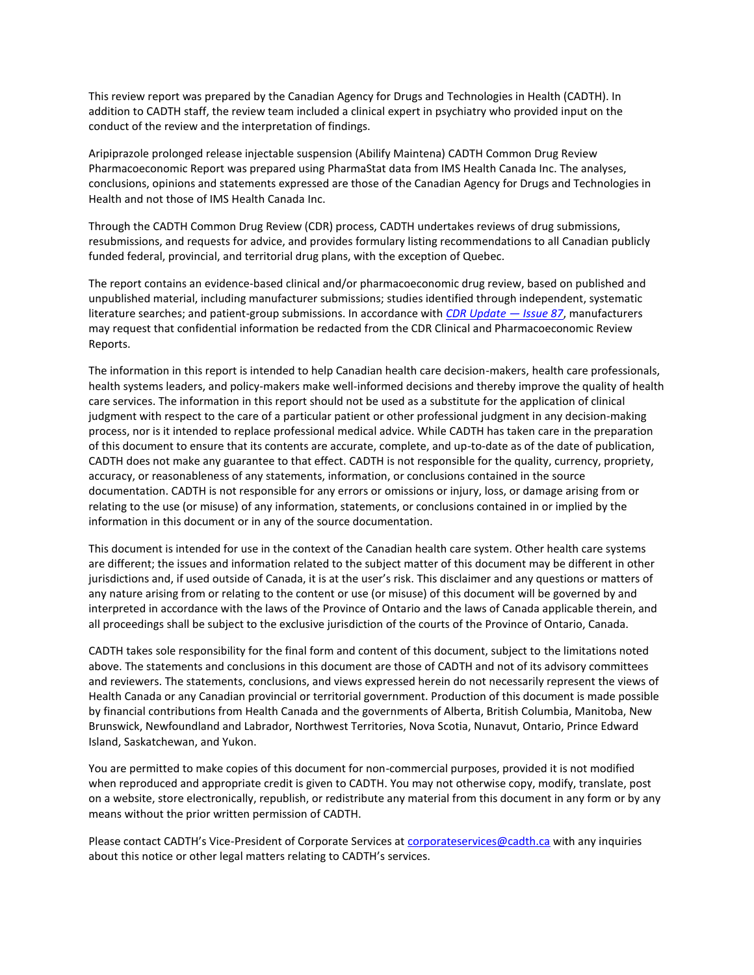This review report was prepared by the Canadian Agency for Drugs and Technologies in Health (CADTH). In addition to CADTH staff, the review team included a clinical expert in psychiatry who provided input on the conduct of the review and the interpretation of findings.

Aripiprazole prolonged release injectable suspension (Abilify Maintena) CADTH Common Drug Review Pharmacoeconomic Report was prepared using PharmaStat data from IMS Health Canada Inc. The analyses, conclusions, opinions and statements expressed are those of the Canadian Agency for Drugs and Technologies in Health and not those of IMS Health Canada Inc.

Through the CADTH Common Drug Review (CDR) process, CADTH undertakes reviews of drug submissions, resubmissions, and requests for advice, and provides formulary listing recommendations to all Canadian publicly funded federal, provincial, and territorial drug plans, with the exception of Quebec.

The report contains an evidence-based clinical and/or pharmacoeconomic drug review, based on published and unpublished material, including manufacturer submissions; studies identified through independent, systematic literature searches; and patient-group submissions. In accordance with *[CDR Update](http://www.cadth.ca/en/products/cdr/cdr-update/cdr-update-87) — Issue 87*, manufacturers may request that confidential information be redacted from the CDR Clinical and Pharmacoeconomic Review Reports.

The information in this report is intended to help Canadian health care decision-makers, health care professionals, health systems leaders, and policy-makers make well-informed decisions and thereby improve the quality of health care services. The information in this report should not be used as a substitute for the application of clinical judgment with respect to the care of a particular patient or other professional judgment in any decision-making process, nor is it intended to replace professional medical advice. While CADTH has taken care in the preparation of this document to ensure that its contents are accurate, complete, and up-to-date as of the date of publication, CADTH does not make any guarantee to that effect. CADTH is not responsible for the quality, currency, propriety, accuracy, or reasonableness of any statements, information, or conclusions contained in the source documentation. CADTH is not responsible for any errors or omissions or injury, loss, or damage arising from or relating to the use (or misuse) of any information, statements, or conclusions contained in or implied by the information in this document or in any of the source documentation.

This document is intended for use in the context of the Canadian health care system. Other health care systems are different; the issues and information related to the subject matter of this document may be different in other jurisdictions and, if used outside of Canada, it is at the user's risk. This disclaimer and any questions or matters of any nature arising from or relating to the content or use (or misuse) of this document will be governed by and interpreted in accordance with the laws of the Province of Ontario and the laws of Canada applicable therein, and all proceedings shall be subject to the exclusive jurisdiction of the courts of the Province of Ontario, Canada.

CADTH takes sole responsibility for the final form and content of this document, subject to the limitations noted above. The statements and conclusions in this document are those of CADTH and not of its advisory committees and reviewers. The statements, conclusions, and views expressed herein do not necessarily represent the views of Health Canada or any Canadian provincial or territorial government. Production of this document is made possible by financial contributions from Health Canada and the governments of Alberta, British Columbia, Manitoba, New Brunswick, Newfoundland and Labrador, Northwest Territories, Nova Scotia, Nunavut, Ontario, Prince Edward Island, Saskatchewan, and Yukon.

You are permitted to make copies of this document for non-commercial purposes, provided it is not modified when reproduced and appropriate credit is given to CADTH. You may not otherwise copy, modify, translate, post on a website, store electronically, republish, or redistribute any material from this document in any form or by any means without the prior written permission of CADTH.

Please contact CADTH's Vice-President of Corporate Services at [corporateservices@cadth.ca](mailto:corporateservices@cadth.ca) with any inquiries about this notice or other legal matters relating to CADTH's services.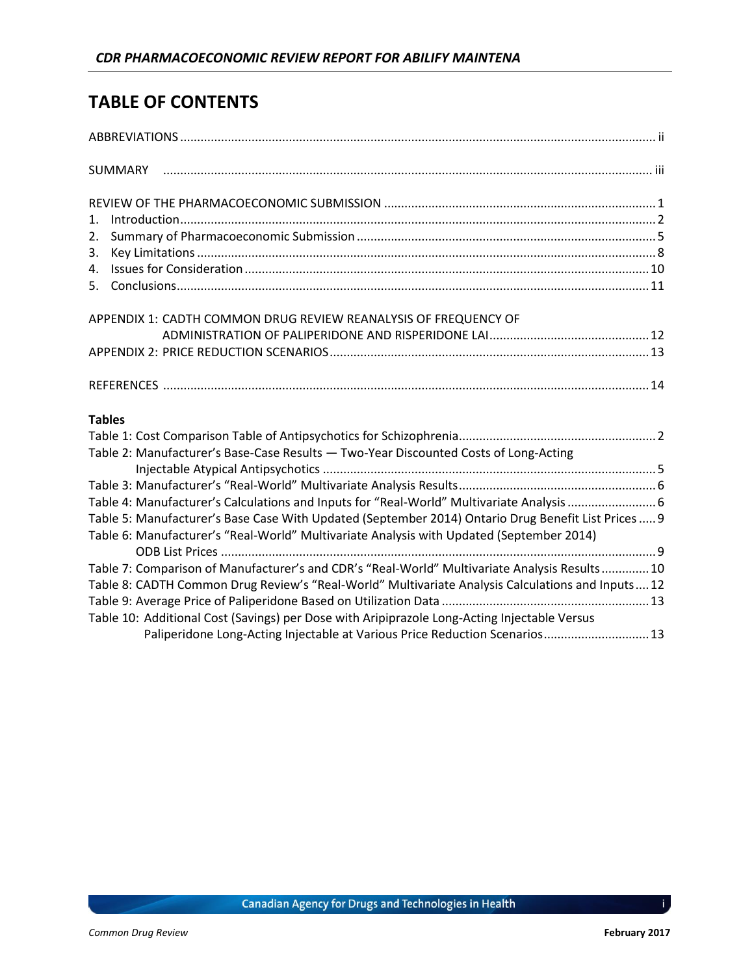### **TABLE OF CONTENTS**

| Introduction 22<br>$1_{-}$                                                                         |  |
|----------------------------------------------------------------------------------------------------|--|
| 2.                                                                                                 |  |
| 3.                                                                                                 |  |
| 4.                                                                                                 |  |
|                                                                                                    |  |
| APPENDIX 1: CADTH COMMON DRUG REVIEW REANALYSIS OF FREQUENCY OF                                    |  |
|                                                                                                    |  |
|                                                                                                    |  |
|                                                                                                    |  |
| <b>Tables</b>                                                                                      |  |
|                                                                                                    |  |
| Table 2: Manufacturer's Base-Case Results - Two-Year Discounted Costs of Long-Acting               |  |
|                                                                                                    |  |
|                                                                                                    |  |
| Table 4: Manufacturer's Calculations and Inputs for "Real-World" Multivariate Analysis 6           |  |
| Table 5: Manufacturer's Base Case With Updated (September 2014) Ontario Drug Benefit List Prices 9 |  |
| Table 6: Manufacturer's "Real-World" Multivariate Analysis with Updated (September 2014)           |  |
|                                                                                                    |  |
| Table 7: Comparison of Manufacturer's and CDR's "Real-World" Multivariate Analysis Results 10      |  |
| Table 8: CADTH Common Drug Review's "Real-World" Multivariate Analysis Calculations and Inputs12   |  |
|                                                                                                    |  |
| Table 10: Additional Cost (Savings) per Dose with Aripiprazole Long-Acting Injectable Versus       |  |
| Paliperidone Long-Acting Injectable at Various Price Reduction Scenarios 13                        |  |

i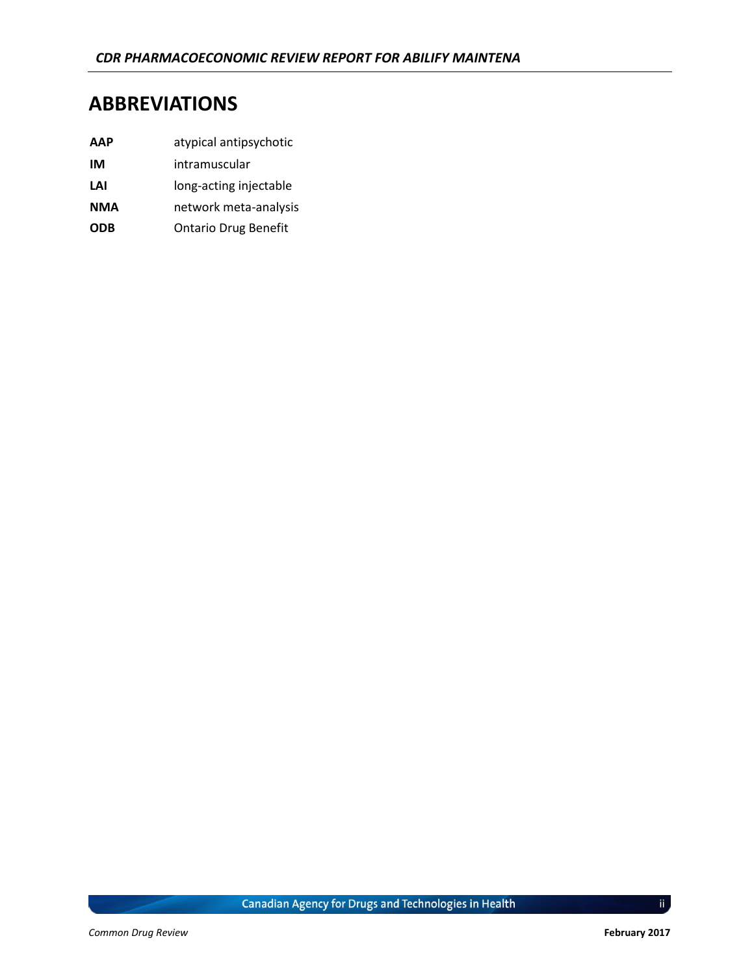### **ABBREVIATIONS**

- **AAP** atypical antipsychotic
- **IM** intramuscular
- LAI long-acting injectable
- **NMA** network meta-analysis
- **ODB** Ontario Drug Benefit

ii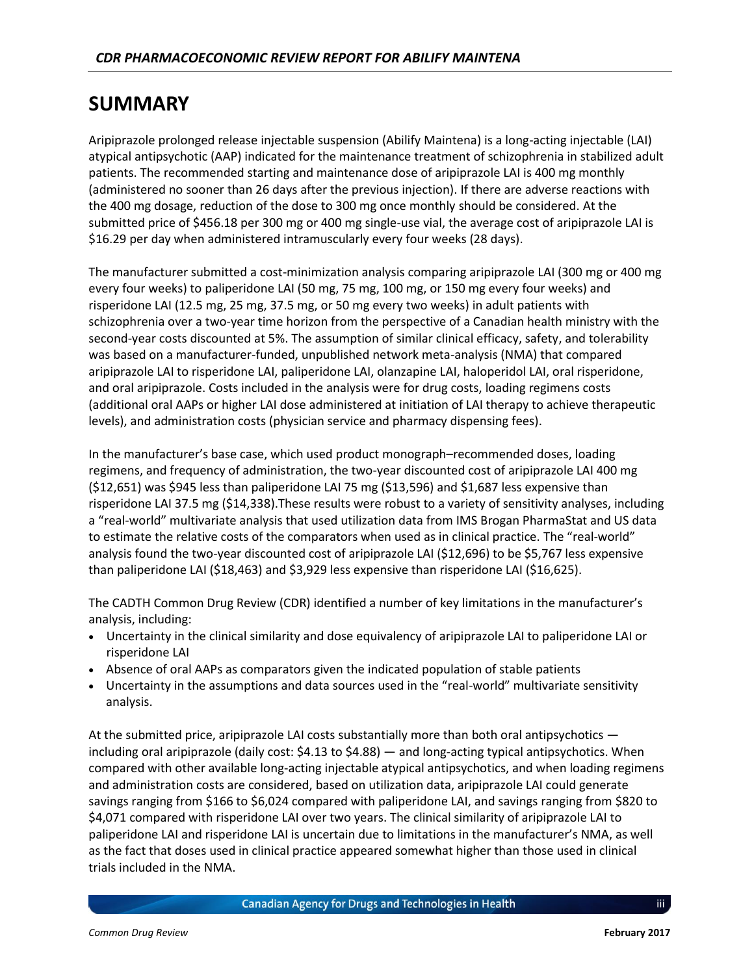### **SUMMARY**

Aripiprazole prolonged release injectable suspension (Abilify Maintena) is a long-acting injectable (LAI) atypical antipsychotic (AAP) indicated for the maintenance treatment of schizophrenia in stabilized adult patients. The recommended starting and maintenance dose of aripiprazole LAI is 400 mg monthly (administered no sooner than 26 days after the previous injection). If there are adverse reactions with the 400 mg dosage, reduction of the dose to 300 mg once monthly should be considered. At the submitted price of \$456.18 per 300 mg or 400 mg single-use vial, the average cost of aripiprazole LAI is \$16.29 per day when administered intramuscularly every four weeks (28 days).

The manufacturer submitted a cost-minimization analysis comparing aripiprazole LAI (300 mg or 400 mg every four weeks) to paliperidone LAI (50 mg, 75 mg, 100 mg, or 150 mg every four weeks) and risperidone LAI (12.5 mg, 25 mg, 37.5 mg, or 50 mg every two weeks) in adult patients with schizophrenia over a two-year time horizon from the perspective of a Canadian health ministry with the second-year costs discounted at 5%. The assumption of similar clinical efficacy, safety, and tolerability was based on a manufacturer-funded, unpublished network meta-analysis (NMA) that compared aripiprazole LAI to risperidone LAI, paliperidone LAI, olanzapine LAI, haloperidol LAI, oral risperidone, and oral aripiprazole. Costs included in the analysis were for drug costs, loading regimens costs (additional oral AAPs or higher LAI dose administered at initiation of LAI therapy to achieve therapeutic levels), and administration costs (physician service and pharmacy dispensing fees).

In the manufacturer's base case, which used product monograph–recommended doses, loading regimens, and frequency of administration, the two-year discounted cost of aripiprazole LAI 400 mg (\$12,651) was \$945 less than paliperidone LAI 75 mg (\$13,596) and \$1,687 less expensive than risperidone LAI 37.5 mg (\$14,338).These results were robust to a variety of sensitivity analyses, including a "real-world" multivariate analysis that used utilization data from IMS Brogan PharmaStat and US data to estimate the relative costs of the comparators when used as in clinical practice. The "real-world" analysis found the two-year discounted cost of aripiprazole LAI (\$12,696) to be \$5,767 less expensive than paliperidone LAI (\$18,463) and \$3,929 less expensive than risperidone LAI (\$16,625).

The CADTH Common Drug Review (CDR) identified a number of key limitations in the manufacturer's analysis, including:

- Uncertainty in the clinical similarity and dose equivalency of aripiprazole LAI to paliperidone LAI or risperidone LAI
- Absence of oral AAPs as comparators given the indicated population of stable patients
- Uncertainty in the assumptions and data sources used in the "real-world" multivariate sensitivity analysis.

At the submitted price, aripiprazole LAI costs substantially more than both oral antipsychotics including oral aripiprazole (daily cost: \$4.13 to \$4.88) — and long-acting typical antipsychotics. When compared with other available long-acting injectable atypical antipsychotics, and when loading regimens and administration costs are considered, based on utilization data, aripiprazole LAI could generate savings ranging from \$166 to \$6,024 compared with paliperidone LAI, and savings ranging from \$820 to \$4,071 compared with risperidone LAI over two years. The clinical similarity of aripiprazole LAI to paliperidone LAI and risperidone LAI is uncertain due to limitations in the manufacturer's NMA, as well as the fact that doses used in clinical practice appeared somewhat higher than those used in clinical trials included in the NMA.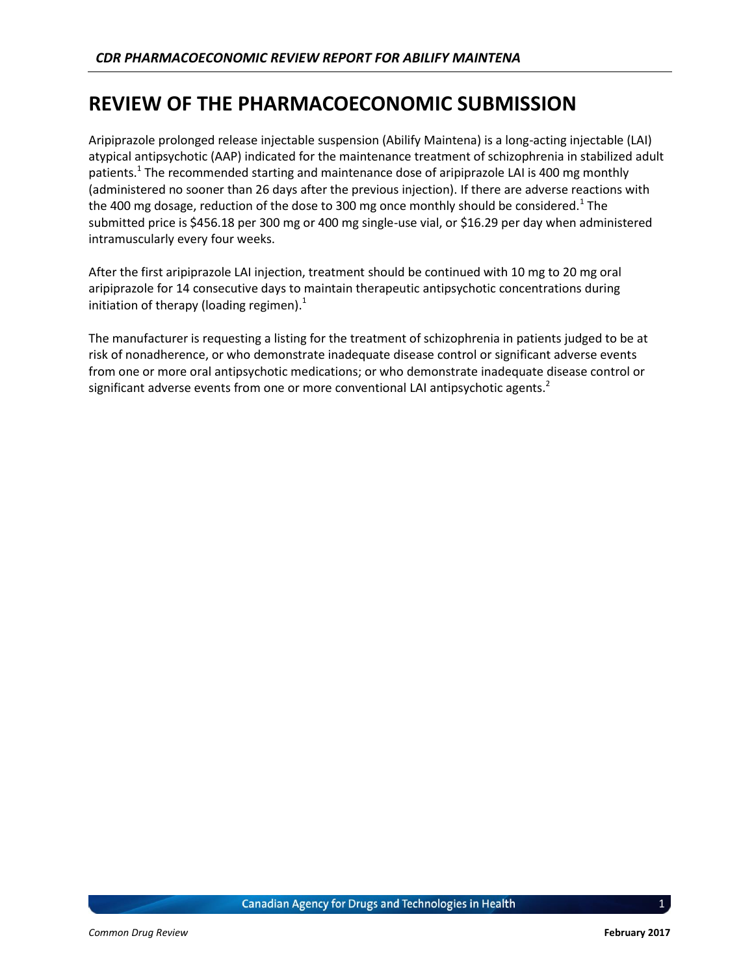### **REVIEW OF THE PHARMACOECONOMIC SUBMISSION**

Aripiprazole prolonged release injectable suspension (Abilify Maintena) is a long-acting injectable (LAI) atypical antipsychotic (AAP) indicated for the maintenance treatment of schizophrenia in stabilized adult patients.<sup>1</sup> The recommended starting and maintenance dose of aripiprazole LAI is 400 mg monthly (administered no sooner than 26 days after the previous injection). If there are adverse reactions with the 400 mg dosage, reduction of the dose to 300 mg once monthly should be considered.<sup>1</sup> The submitted price is \$456.18 per 300 mg or 400 mg single-use vial, or \$16.29 per day when administered intramuscularly every four weeks.

After the first aripiprazole LAI injection, treatment should be continued with 10 mg to 20 mg oral aripiprazole for 14 consecutive days to maintain therapeutic antipsychotic concentrations during initiation of therapy (loading regimen).<sup>1</sup>

The manufacturer is requesting a listing for the treatment of schizophrenia in patients judged to be at risk of nonadherence, or who demonstrate inadequate disease control or significant adverse events from one or more oral antipsychotic medications; or who demonstrate inadequate disease control or significant adverse events from one or more conventional LAI antipsychotic agents. $2$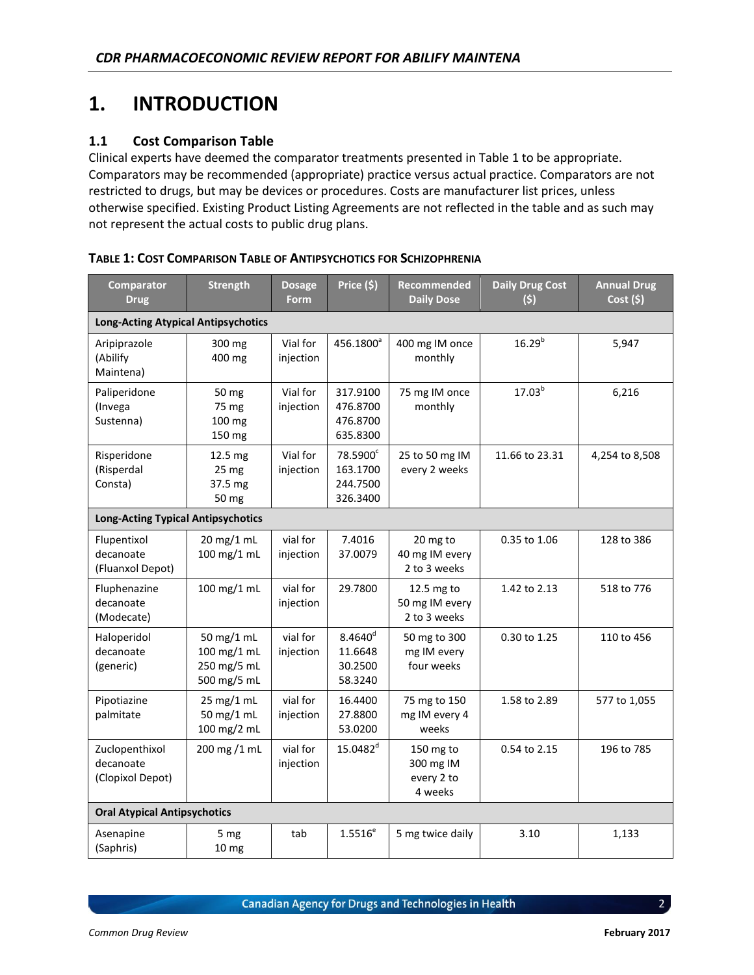# **1. INTRODUCTION**

#### **1.1 Cost Comparison Table**

Clinical experts have deemed the comparator treatments presented in Table 1 to be appropriate. Comparators may be recommended (appropriate) practice versus actual practice. Comparators are not restricted to drugs, but may be devices or procedures. Costs are manufacturer list prices, unless otherwise specified. Existing Product Listing Agreements are not reflected in the table and as such may not represent the actual costs to public drug plans.

| <b>Comparator</b><br><b>Drug</b>                | <b>Strength</b>                                         | <b>Dosage</b><br><b>Form</b> | Price (\$)                                    | Recommended<br><b>Daily Dose</b>                | <b>Daily Drug Cost</b><br>(5) | <b>Annual Drug</b><br>$Cost($ \$) |
|-------------------------------------------------|---------------------------------------------------------|------------------------------|-----------------------------------------------|-------------------------------------------------|-------------------------------|-----------------------------------|
| <b>Long-Acting Atypical Antipsychotics</b>      |                                                         |                              |                                               |                                                 |                               |                                   |
| Aripiprazole<br>(Abilify<br>Maintena)           | 300 mg<br>400 mg                                        | Vial for<br>injection        | 456.1800 <sup>a</sup>                         | 400 mg IM once<br>monthly                       | $16.29^{b}$                   | 5,947                             |
| Paliperidone<br>(Invega<br>Sustenna)            | 50 mg<br>75 mg<br>100 mg<br>150 mg                      | Vial for<br>injection        | 317.9100<br>476.8700<br>476.8700<br>635.8300  | 75 mg IM once<br>monthly                        | $17.03^{b}$                   | 6,216                             |
| Risperidone<br>(Risperdal<br>Consta)            | 12.5 mg<br>25 mg<br>37.5 mg<br>50 mg                    | Vial for<br>injection        | 78.5900°<br>163.1700<br>244.7500<br>326.3400  | 25 to 50 mg IM<br>every 2 weeks                 | 11.66 to 23.31                | 4,254 to 8,508                    |
| <b>Long-Acting Typical Antipsychotics</b>       |                                                         |                              |                                               |                                                 |                               |                                   |
| Flupentixol<br>decanoate<br>(Fluanxol Depot)    | 20 mg/1 mL<br>100 mg/1 mL                               | vial for<br>injection        | 7.4016<br>37.0079                             | 20 mg to<br>40 mg IM every<br>2 to 3 weeks      | 0.35 to 1.06                  | 128 to 386                        |
| Fluphenazine<br>decanoate<br>(Modecate)         | 100 mg/1 mL                                             | vial for<br>injection        | 29.7800                                       | 12.5 mg to<br>50 mg IM every<br>2 to 3 weeks    | 1.42 to 2.13                  | 518 to 776                        |
| Haloperidol<br>decanoate<br>(generic)           | 50 mg/1 mL<br>100 mg/1 mL<br>250 mg/5 mL<br>500 mg/5 mL | vial for<br>injection        | $8.4640^{d}$<br>11.6648<br>30.2500<br>58.3240 | 50 mg to 300<br>mg IM every<br>four weeks       | 0.30 to 1.25                  | 110 to 456                        |
| Pipotiazine<br>palmitate                        | 25 mg/1 mL<br>50 mg/1 mL<br>100 mg/2 mL                 | vial for<br>injection        | 16.4400<br>27.8800<br>53.0200                 | 75 mg to 150<br>mg IM every 4<br>weeks          | 1.58 to 2.89                  | 577 to 1,055                      |
| Zuclopenthixol<br>decanoate<br>(Clopixol Depot) | 200 mg /1 mL                                            | vial for<br>injection        | 15.0482 <sup>d</sup>                          | 150 mg to<br>300 mg IM<br>every 2 to<br>4 weeks | 0.54 to 2.15                  | 196 to 785                        |
| <b>Oral Atypical Antipsychotics</b>             |                                                         |                              |                                               |                                                 |                               |                                   |
| Asenapine<br>(Saphris)                          | 5 mg<br>10 mg                                           | tab                          | $1.5516^{e}$                                  | 5 mg twice daily                                | 3.10                          | 1,133                             |

<span id="page-6-0"></span>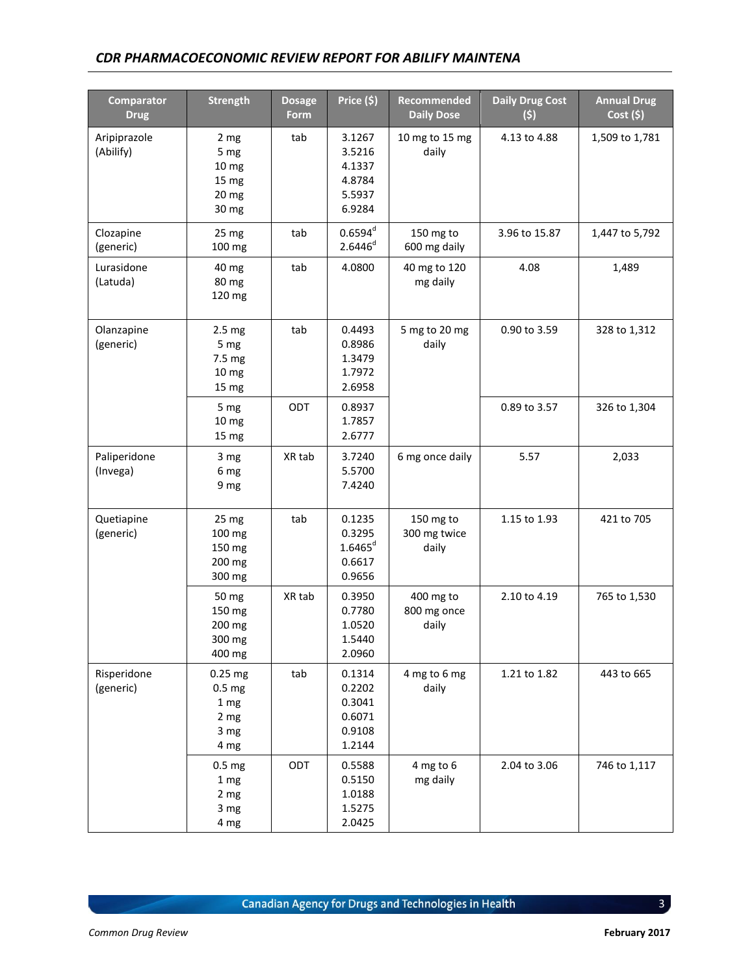#### *CDR PHARMACOECONOMIC REVIEW REPORT FOR ABILIFY MAINTENA*

| <b>Comparator</b><br><b>Drug</b> | <b>Strength</b>                                                  | <b>Dosage</b><br>Form | Price (5)                                                | <b>Recommended</b><br><b>Daily Dose</b> | <b>Daily Drug Cost</b><br>(5) | <b>Annual Drug</b><br>Cost(5) |
|----------------------------------|------------------------------------------------------------------|-----------------------|----------------------------------------------------------|-----------------------------------------|-------------------------------|-------------------------------|
| Aripiprazole<br>(Abilify)        | 2 mg<br>5 mg<br>10 <sub>mg</sub><br>15 mg<br>20 mg<br>30 mg      | tab                   | 3.1267<br>3.5216<br>4.1337<br>4.8784<br>5.5937<br>6.9284 | 10 mg to 15 mg<br>daily                 | 4.13 to 4.88                  | 1,509 to 1,781                |
| Clozapine<br>(generic)           | 25 mg<br>100 mg                                                  | tab                   | $0.6594^d$<br>$2.6446^{d}$                               | 150 mg to<br>600 mg daily               | 3.96 to 15.87                 | 1,447 to 5,792                |
| Lurasidone<br>(Latuda)           | 40 mg<br>80 mg<br>120 mg                                         | tab                   | 4.0800                                                   | 40 mg to 120<br>mg daily                | 4.08                          | 1,489                         |
| Olanzapine<br>(generic)          | 2.5 <sub>mg</sub><br>5 mg<br>7.5 mg<br>10 <sub>mg</sub><br>15 mg | tab                   | 0.4493<br>0.8986<br>1.3479<br>1.7972<br>2.6958           | 5 mg to 20 mg<br>daily                  | 0.90 to 3.59                  | 328 to 1,312                  |
|                                  | 5 mg<br>10 <sub>mg</sub><br>15 mg                                | ODT                   | 0.8937<br>1.7857<br>2.6777                               |                                         | 0.89 to 3.57                  | 326 to 1,304                  |
| Paliperidone<br>(Invega)         | 3 mg<br>6 mg<br>9 mg                                             | XR tab                | 3.7240<br>5.5700<br>7.4240                               | 6 mg once daily                         | 5.57                          | 2,033                         |
| Quetiapine<br>(generic)          | 25 mg<br>100 mg<br>150 mg<br>200 mg<br>300 mg                    | tab                   | 0.1235<br>0.3295<br>$1.6465^{d}$<br>0.6617<br>0.9656     | 150 mg to<br>300 mg twice<br>daily      | 1.15 to 1.93                  | 421 to 705                    |
|                                  | 50 mg<br>150 mg<br>200 mg<br>300 mg<br>400 mg                    | XR tab                | 0.3950<br>0.7780<br>1.0520<br>1.5440<br>2.0960           | 400 mg to<br>800 mg once<br>daily       | 2.10 to 4.19                  | 765 to 1,530                  |
| Risperidone<br>(generic)         | $0.25$ mg<br>0.5 <sub>mg</sub><br>1 mg<br>2 mg<br>3 mg<br>4 mg   | tab                   | 0.1314<br>0.2202<br>0.3041<br>0.6071<br>0.9108<br>1.2144 | 4 mg to 6 mg<br>daily                   | 1.21 to 1.82                  | 443 to 665                    |
|                                  | 0.5 <sub>mg</sub><br>1 mg<br>2 mg<br>3 mg<br>4 mg                | ODT                   | 0.5588<br>0.5150<br>1.0188<br>1.5275<br>2.0425           | 4 mg to 6<br>mg daily                   | 2.04 to 3.06                  | 746 to 1,117                  |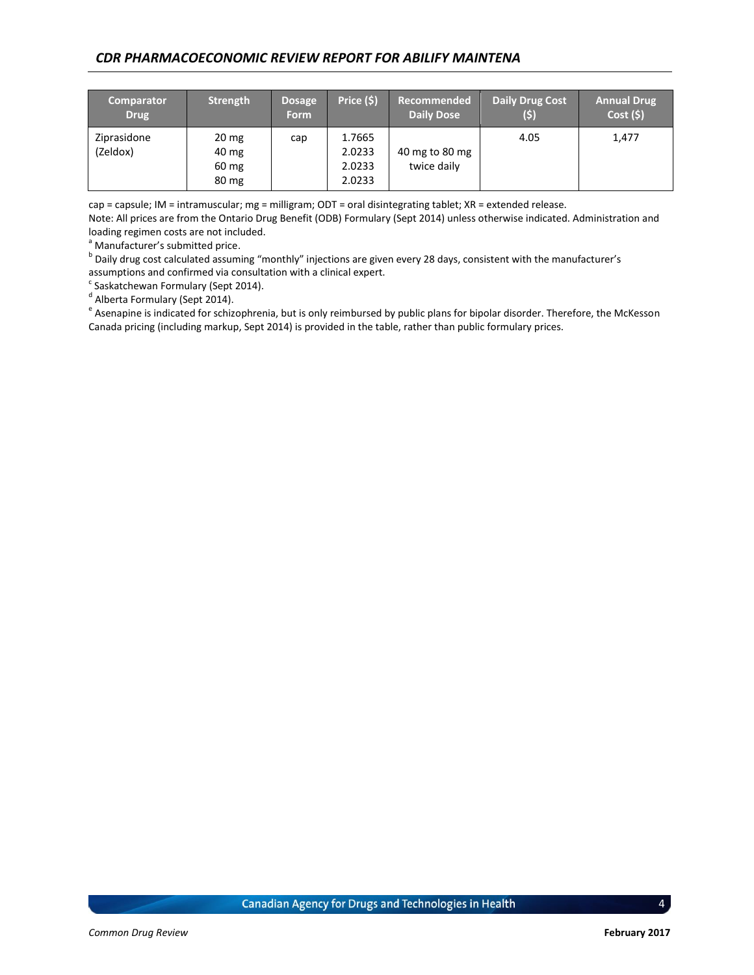#### *CDR PHARMACOECONOMIC REVIEW REPORT FOR ABILIFY MAINTENA*

| <b>Comparator</b><br><b>Drug</b> | Strength                                                       | <b>Dosage</b><br><b>Form</b> | Price (\$)                           | Recommended<br><b>Daily Dose</b> | <b>Daily Drug Cost</b><br>(5) | <b>Annual Drug</b><br>$\overline{\text{Cost}}(\textsf{S})$ |
|----------------------------------|----------------------------------------------------------------|------------------------------|--------------------------------------|----------------------------------|-------------------------------|------------------------------------------------------------|
| Ziprasidone<br>(Zeldox)          | $20 \text{ mg}$<br>40 mg<br>$60 \text{ mg}$<br>$80 \text{ mg}$ | cap                          | 1.7665<br>2.0233<br>2.0233<br>2.0233 | 40 mg to 80 mg<br>twice daily    | 4.05                          | 1,477                                                      |

cap = capsule; IM = intramuscular; mg = milligram; ODT = oral disintegrating tablet; XR = extended release.

Note: All prices are from the Ontario Drug Benefit (ODB) Formulary (Sept 2014) unless otherwise indicated. Administration and loading regimen costs are not included.

 $a$  Manufacturer's submitted price.

<sup>b</sup> Daily drug cost calculated assuming "monthly" injections are given every 28 days, consistent with the manufacturer's assumptions and confirmed via consultation with a clinical expert.

<sup>c</sup> Saskatchewan Formulary (Sept 2014).

<sup>d</sup> Alberta Formulary (Sept 2014).

<sup>e</sup> Asenapine is indicated for schizophrenia, but is only reimbursed by public plans for bipolar disorder. Therefore, the McKesson Canada pricing (including markup, Sept 2014) is provided in the table, rather than public formulary prices.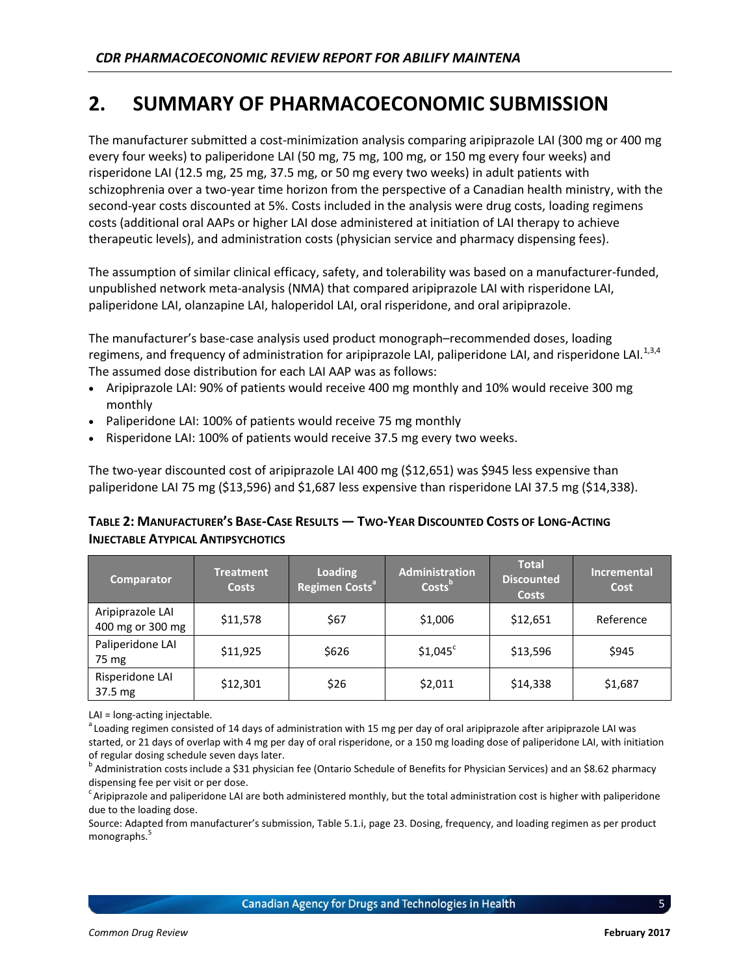# **2. SUMMARY OF PHARMACOECONOMIC SUBMISSION**

The manufacturer submitted a cost-minimization analysis comparing aripiprazole LAI (300 mg or 400 mg every four weeks) to paliperidone LAI (50 mg, 75 mg, 100 mg, or 150 mg every four weeks) and risperidone LAI (12.5 mg, 25 mg, 37.5 mg, or 50 mg every two weeks) in adult patients with schizophrenia over a two-year time horizon from the perspective of a Canadian health ministry, with the second-year costs discounted at 5%. Costs included in the analysis were drug costs, loading regimens costs (additional oral AAPs or higher LAI dose administered at initiation of LAI therapy to achieve therapeutic levels), and administration costs (physician service and pharmacy dispensing fees).

The assumption of similar clinical efficacy, safety, and tolerability was based on a manufacturer-funded, unpublished network meta-analysis (NMA) that compared aripiprazole LAI with risperidone LAI, paliperidone LAI, olanzapine LAI, haloperidol LAI, oral risperidone, and oral aripiprazole.

The manufacturer's base-case analysis used product monograph–recommended doses, loading regimens, and frequency of administration for aripiprazole LAI, paliperidone LAI, and risperidone LAI.<sup>1,3,4</sup> The assumed dose distribution for each LAI AAP was as follows:

- Aripiprazole LAI: 90% of patients would receive 400 mg monthly and 10% would receive 300 mg monthly
- Paliperidone LAI: 100% of patients would receive 75 mg monthly
- Risperidone LAI: 100% of patients would receive 37.5 mg every two weeks.

The two-year discounted cost of aripiprazole LAI 400 mg (\$12,651) was \$945 less expensive than paliperidone LAI 75 mg (\$13,596) and \$1,687 less expensive than risperidone LAI 37.5 mg (\$14,338).

#### <span id="page-9-0"></span>TABLE 2: MANUFACTURER'S BASE-CASE RESULTS - TWO-YEAR DISCOUNTED COSTS OF LONG-ACTING **INJECTABLE ATYPICAL ANTIPSYCHOTICS**

| <b>Comparator</b>                    | <b>Treatment</b><br><b>Costs</b> | <b>Loading</b><br>Regimen Costs <sup>a</sup> | <b>Administration</b><br>Costs <sup>b</sup> | <b>Total</b><br><b>Discounted</b><br><b>Costs</b> | Incremental<br>Cost |
|--------------------------------------|----------------------------------|----------------------------------------------|---------------------------------------------|---------------------------------------------------|---------------------|
| Aripiprazole LAI<br>400 mg or 300 mg | \$11,578                         | \$67                                         | \$1,006                                     | \$12,651                                          | Reference           |
| Paliperidone LAI<br>75 mg            | \$11,925                         | \$626                                        | $$1,045^{\circ}$                            | \$13,596                                          | \$945               |
| Risperidone LAI<br>37.5 mg           | \$12,301                         | \$26                                         | \$2,011                                     | \$14,338                                          | \$1,687             |

LAI = long-acting injectable.

<sup>a</sup> Loading regimen consisted of 14 days of administration with 15 mg per day of oral aripiprazole after aripiprazole LAI was started, or 21 days of overlap with 4 mg per day of oral risperidone, or a 150 mg loading dose of paliperidone LAI, with initiation of regular dosing schedule seven days later.

<sup>b</sup> Administration costs include a \$31 physician fee (Ontario Schedule of Benefits for Physician Services) and an \$8.62 pharmacy dispensing fee per visit or per dose.

 $c$  Aripiprazole and paliperidone LAI are both administered monthly, but the total administration cost is higher with paliperidone due to the loading dose.

Source: Adapted from manufacturer's submission, Table 5.1.i, page 23. Dosing, frequency, and loading regimen as per product monographs.<sup>5</sup>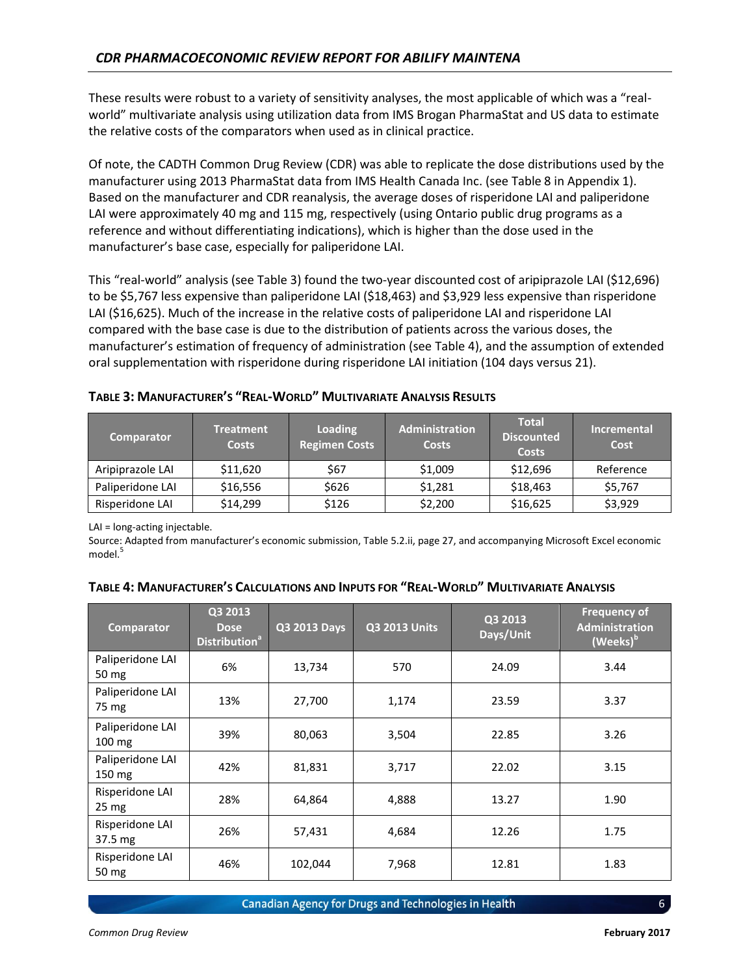These results were robust to a variety of sensitivity analyses, the most applicable of which was a "realworld" multivariate analysis using utilization data from IMS Brogan PharmaStat and US data to estimate the relative costs of the comparators when used as in clinical practice.

Of note, the CADTH Common Drug Review (CDR) was able to replicate the dose distributions used by the manufacturer using 2013 PharmaStat data from IMS Health Canada Inc. (se[e Table](#page-16-0) 8 in Appendix 1). Based on the manufacturer and CDR reanalysis, the average doses of risperidone LAI and paliperidone LAI were approximately 40 mg and 115 mg, respectively (using Ontario public drug programs as a reference and without differentiating indications), which is higher than the dose used in the manufacturer's base case, especially for paliperidone LAI.

This "real-world" analysis (see [Table 3\)](#page-10-0) found the two-year discounted cost of aripiprazole LAI (\$12,696) to be \$5,767 less expensive than paliperidone LAI (\$18,463) and \$3,929 less expensive than risperidone LAI (\$16,625). Much of the increase in the relative costs of paliperidone LAI and risperidone LAI compared with the base case is due to the distribution of patients across the various doses, the manufacturer's estimation of frequency of administration (see [Table 4\)](#page-10-1), and the assumption of extended oral supplementation with risperidone during risperidone LAI initiation (104 days versus 21).

| <b>Comparator</b> | Treatment<br><b>Costs</b> | Loading<br><b>Regimen Costs</b> | <b>Administration</b><br><b>Costs</b> | <b>Total</b><br><b>Discounted</b><br><b>Costs</b> | <b>Incremental</b><br>Cost |
|-------------------|---------------------------|---------------------------------|---------------------------------------|---------------------------------------------------|----------------------------|
| Aripiprazole LAI  | \$11,620                  | \$67                            | \$1,009                               | \$12,696                                          | Reference                  |
| Paliperidone LAI  | \$16,556                  | \$626                           | \$1,281                               | \$18,463                                          | \$5,767                    |
| Risperidone LAI   | \$14,299                  | \$126                           | \$2,200                               | \$16,625                                          | \$3,929                    |

<span id="page-10-0"></span>**TABLE 3: MANUFACTURER'S "REAL-WORLD" MULTIVARIATE ANALYSIS RESULTS**

LAI = long-acting injectable.

Source: Adapted from manufacturer's economic submission, Table 5.2.ii, page 27, and accompanying Microsoft Excel economic model.<sup>5</sup>

| <b>Comparator</b>                    | Q3 2013<br><b>Dose</b><br><b>Distribution</b> <sup>ª</sup> | Q3 2013 Days | <b>Q3 2013 Units</b> | Q3 2013<br>Days/Unit | <b>Frequency of</b><br><b>Administration</b><br>(Weeks) <sup>b</sup> |
|--------------------------------------|------------------------------------------------------------|--------------|----------------------|----------------------|----------------------------------------------------------------------|
| Paliperidone LAI<br>50 mg            | 6%                                                         | 13,734       | 570                  | 24.09                | 3.44                                                                 |
| Paliperidone LAI<br>75 mg            | 13%                                                        | 27,700       | 1,174                | 23.59                | 3.37                                                                 |
| Paliperidone LAI<br>$100 \text{ mg}$ | 39%                                                        | 80,063       | 3,504                | 22.85                | 3.26                                                                 |
| Paliperidone LAI<br>$150 \text{ mg}$ | 42%                                                        | 81,831       | 3,717                | 22.02                | 3.15                                                                 |
| Risperidone LAI<br>25 <sub>mg</sub>  | 28%                                                        | 64,864       | 4,888                | 13.27                | 1.90                                                                 |
| Risperidone LAI<br>$37.5 \text{ mg}$ | 26%                                                        | 57,431       | 4,684                | 12.26                | 1.75                                                                 |
| Risperidone LAI<br>50 mg             | 46%                                                        | 102,044      | 7,968                | 12.81                | 1.83                                                                 |

#### <span id="page-10-1"></span>TABLE 4: MANUFACTURER'S CALCULATIONS AND INPUTS FOR "REAL-WORLD" MULTIVARIATE ANALYSIS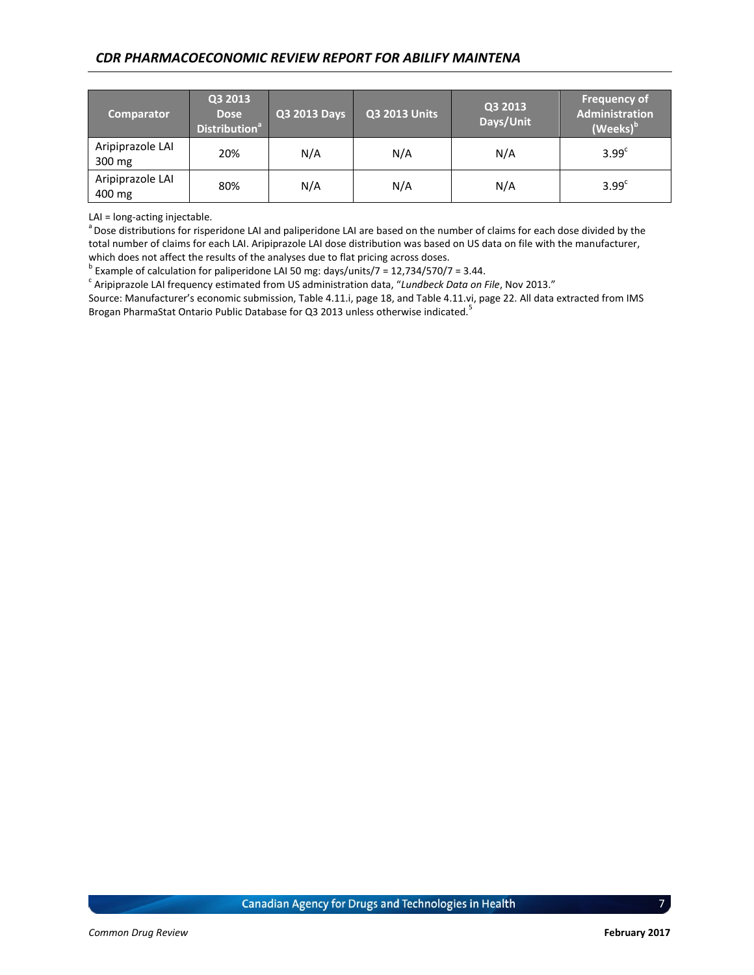| <b>Comparator</b>          | Q3 2013<br><b>Dose</b><br><b>Distribution<sup>ª</sup></b> | Q3 2013 Days | <b>Q3 2013 Units</b> | Q3 2013<br>Days/Unit | <b>Frequency of</b><br>Administration<br>(Weeks) <sup>b</sup> |
|----------------------------|-----------------------------------------------------------|--------------|----------------------|----------------------|---------------------------------------------------------------|
| Aripiprazole LAI<br>300 mg | 20%                                                       | N/A          | N/A                  | N/A                  | 3.99 <sup>c</sup>                                             |
| Aripiprazole LAI<br>400 mg | 80%                                                       | N/A          | N/A                  | N/A                  | 3.99 <sup>c</sup>                                             |

LAI = long-acting injectable.

aDose distributions for risperidone LAI and paliperidone LAI are based on the number of claims for each dose divided by the total number of claims for each LAI. Aripiprazole LAI dose distribution was based on US data on file with the manufacturer, which does not affect the results of the analyses due to flat pricing across doses.

 $^{\rm b}$  Example of calculation for paliperidone LAI 50 mg: days/units/7 = 12,734/570/7 = 3.44.

c Aripiprazole LAI frequency estimated from US administration data, "*Lundbeck Data on File*, Nov 2013."

Source: Manufacturer's economic submission, Table 4.11.i, page 18, and Table 4.11.vi, page 22. All data extracted from IMS Brogan PharmaStat Ontario Public Database for Q3 2013 unless otherwise indicated.<sup>5</sup>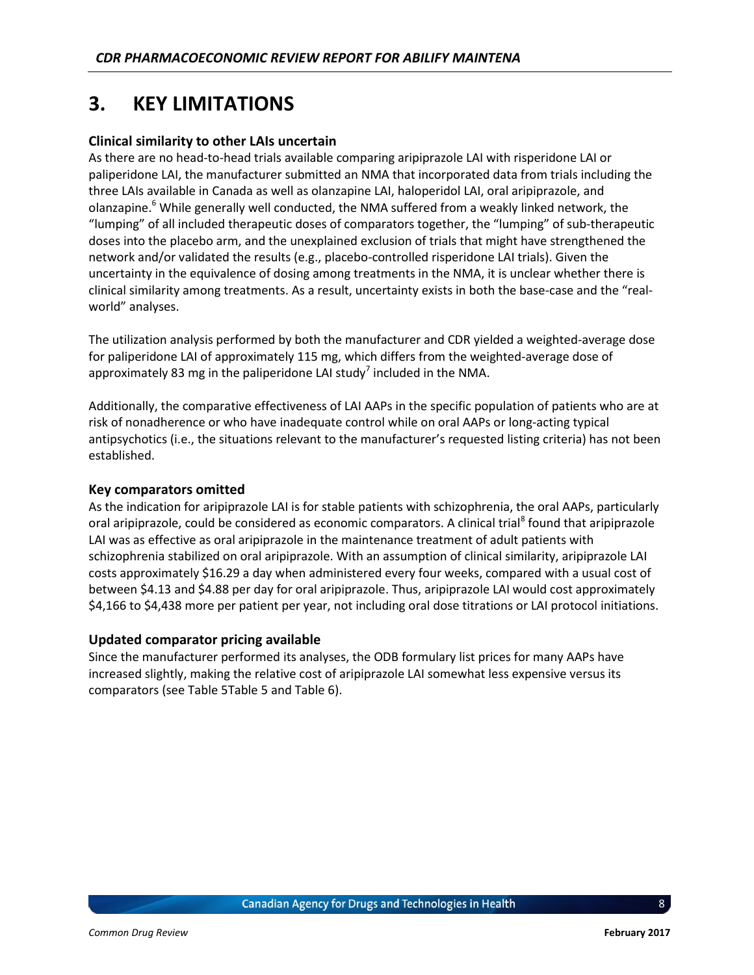# **3. KEY LIMITATIONS**

#### **Clinical similarity to other LAIs uncertain**

As there are no head-to-head trials available comparing aripiprazole LAI with risperidone LAI or paliperidone LAI, the manufacturer submitted an NMA that incorporated data from trials including the three LAIs available in Canada as well as olanzapine LAI, haloperidol LAI, oral aripiprazole, and olanzapine.<sup>6</sup> While generally well conducted, the NMA suffered from a weakly linked network, the "lumping" of all included therapeutic doses of comparators together, the "lumping" of sub-therapeutic doses into the placebo arm, and the unexplained exclusion of trials that might have strengthened the network and/or validated the results (e.g., placebo-controlled risperidone LAI trials). Given the uncertainty in the equivalence of dosing among treatments in the NMA, it is unclear whether there is clinical similarity among treatments. As a result, uncertainty exists in both the base-case and the "realworld" analyses.

The utilization analysis performed by both the manufacturer and CDR yielded a weighted-average dose for paliperidone LAI of approximately 115 mg, which differs from the weighted-average dose of approximately 83 mg in the paliperidone LAI study<sup>7</sup> included in the NMA.

Additionally, the comparative effectiveness of LAI AAPs in the specific population of patients who are at risk of nonadherence or who have inadequate control while on oral AAPs or long-acting typical antipsychotics (i.e., the situations relevant to the manufacturer's requested listing criteria) has not been established.

#### **Key comparators omitted**

As the indication for aripiprazole LAI is for stable patients with schizophrenia, the oral AAPs, particularly oral aripiprazole, could be considered as economic comparators. A clinical trial<sup>8</sup> found that aripiprazole LAI was as effective as oral aripiprazole in the maintenance treatment of adult patients with schizophrenia stabilized on oral aripiprazole. With an assumption of clinical similarity, aripiprazole LAI costs approximately \$16.29 a day when administered every four weeks, compared with a usual cost of between \$4.13 and \$4.88 per day for oral aripiprazole. Thus, aripiprazole LAI would cost approximately \$4,166 to \$4,438 more per patient per year, not including oral dose titrations or LAI protocol initiations.

#### **Updated comparator pricing available**

Since the manufacturer performed its analyses, the ODB formulary list prices for many AAPs have increased slightly, making the relative cost of aripiprazole LAI somewhat less expensive versus its comparators (se[e Table 5Table 5](#page-13-0) and [Table 6\)](#page-13-1).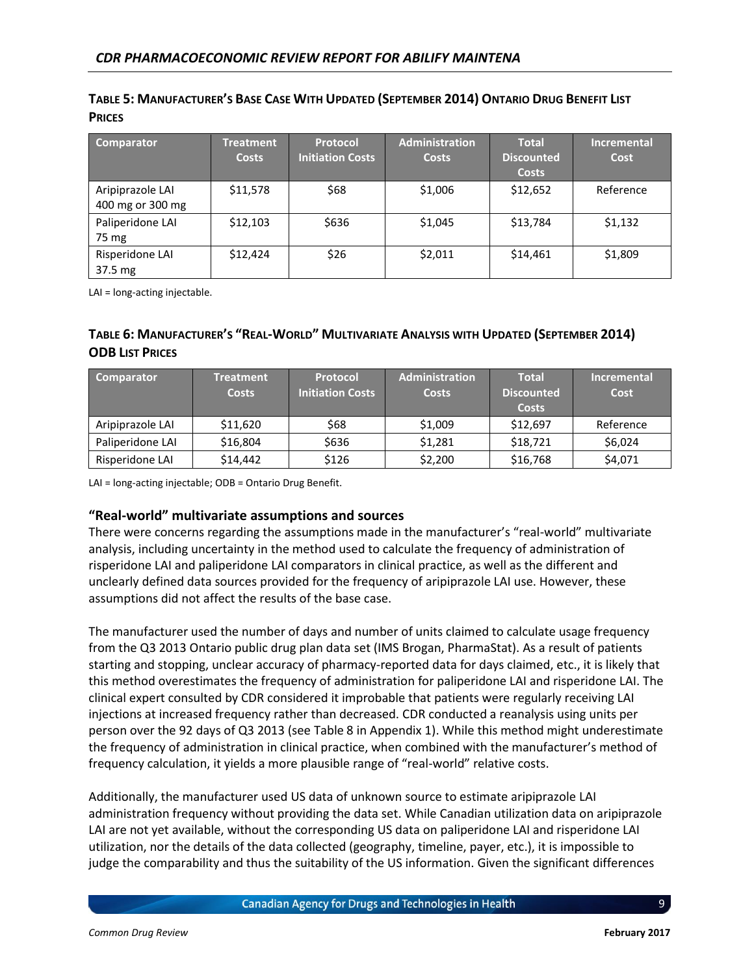| Comparator                           | <b>Treatment</b><br><b>Costs</b> | <b>Protocol</b><br><b>Initiation Costs</b> | <b>Administration</b><br><b>Costs</b> | <b>Total</b><br><b>Discounted</b><br><b>Costs</b> | <b>Incremental</b><br>Cost |
|--------------------------------------|----------------------------------|--------------------------------------------|---------------------------------------|---------------------------------------------------|----------------------------|
| Aripiprazole LAI<br>400 mg or 300 mg | \$11,578                         | \$68                                       | \$1,006                               | \$12,652                                          | Reference                  |
| Paliperidone LAI<br>75 mg            | \$12,103                         | \$636                                      | \$1,045                               | \$13,784                                          | \$1,132                    |
| Risperidone LAI<br>$37.5 \text{ mg}$ | \$12,424                         | \$26                                       | \$2,011                               | \$14,461                                          | \$1,809                    |

#### <span id="page-13-0"></span>TABLE 5: MANUFACTURER'S BASE CASE WITH UPDATED (SEPTEMBER 2014) ONTARIO DRUG BENEFIT LIST **PRICES**

LAI = long-acting injectable.

#### <span id="page-13-1"></span>TABLE 6: MANUFACTURER'S "REAL-WORLD" MULTIVARIATE ANALYSIS WITH UPDATED (SEPTEMBER 2014) **ODB LIST PRICES**

| <b>Comparator</b> | <b>Treatment</b><br><b>Costs</b> | Protocol<br><b>Initiation Costs</b> | <b>Administration</b><br><b>Costs</b> | <b>Total</b><br>Discounted<br><b>Costs</b> | <b>Incremental</b><br>Cost |
|-------------------|----------------------------------|-------------------------------------|---------------------------------------|--------------------------------------------|----------------------------|
| Aripiprazole LAI  | \$11,620                         | \$68                                | \$1,009                               | \$12,697                                   | Reference                  |
| Paliperidone LAI  | \$16,804                         | \$636                               | \$1,281                               | \$18,721                                   | \$6,024                    |
| Risperidone LAI   | \$14,442                         | \$126                               | \$2,200                               | \$16,768                                   | \$4,071                    |

LAI = long-acting injectable; ODB = Ontario Drug Benefit.

#### **"Real-world" multivariate assumptions and sources**

There were concerns regarding the assumptions made in the manufacturer's "real-world" multivariate analysis, including uncertainty in the method used to calculate the frequency of administration of risperidone LAI and paliperidone LAI comparators in clinical practice, as well as the different and unclearly defined data sources provided for the frequency of aripiprazole LAI use. However, these assumptions did not affect the results of the base case.

The manufacturer used the number of days and number of units claimed to calculate usage frequency from the Q3 2013 Ontario public drug plan data set (IMS Brogan, PharmaStat). As a result of patients starting and stopping, unclear accuracy of pharmacy-reported data for days claimed, etc., it is likely that this method overestimates the frequency of administration for paliperidone LAI and risperidone LAI. The clinical expert consulted by CDR considered it improbable that patients were regularly receiving LAI injections at increased frequency rather than decreased. CDR conducted a reanalysis using units per person over the 92 days of Q3 2013 (see [Table](#page-16-0) 8 in Appendix 1). While this method might underestimate the frequency of administration in clinical practice, when combined with the manufacturer's method of frequency calculation, it yields a more plausible range of "real-world" relative costs.

Additionally, the manufacturer used US data of unknown source to estimate aripiprazole LAI administration frequency without providing the data set. While Canadian utilization data on aripiprazole LAI are not yet available, without the corresponding US data on paliperidone LAI and risperidone LAI utilization, nor the details of the data collected (geography, timeline, payer, etc.), it is impossible to judge the comparability and thus the suitability of the US information. Given the significant differences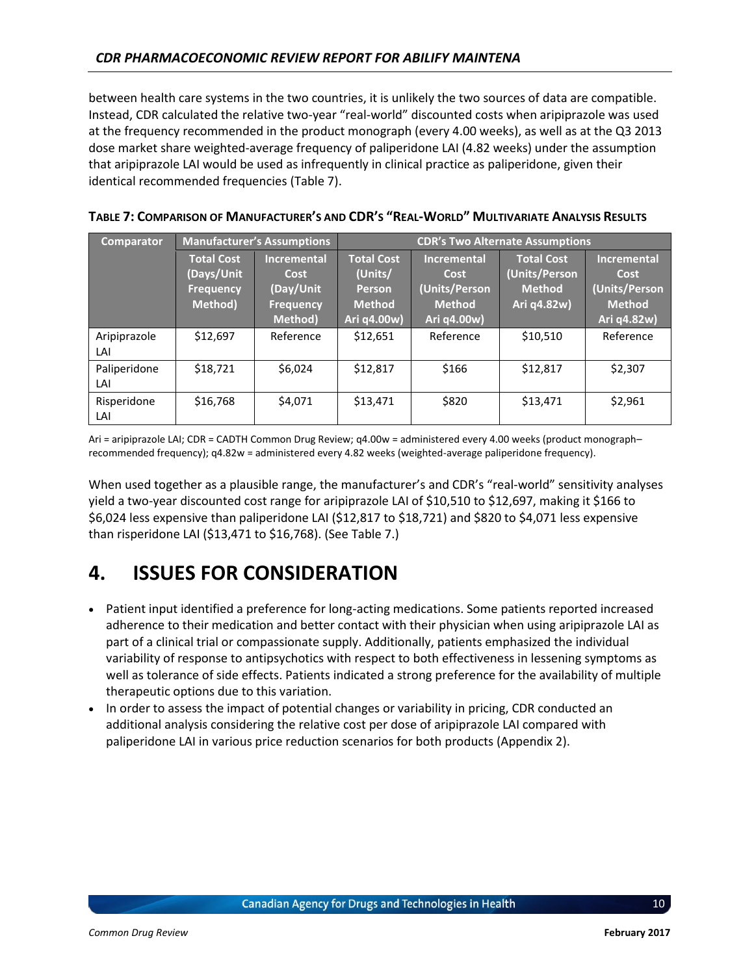between health care systems in the two countries, it is unlikely the two sources of data are compatible. Instead, CDR calculated the relative two-year "real-world" discounted costs when aripiprazole was used at the frequency recommended in the product monograph (every 4.00 weeks), as well as at the Q3 2013 dose market share weighted-average frequency of paliperidone LAI (4.82 weeks) under the assumption that aripiprazole LAI would be used as infrequently in clinical practice as paliperidone, given their identical recommended frequencies [\(Table 7\)](#page-14-0).

| <b>Comparator</b> | <b>Manufacturer's Assumptions</b> |                    | <b>CDR's Two Alternate Assumptions</b> |                    |                   |                    |
|-------------------|-----------------------------------|--------------------|----------------------------------------|--------------------|-------------------|--------------------|
|                   | <b>Total Cost</b>                 | <b>Incremental</b> | <b>Total Cost</b>                      | <b>Incremental</b> | <b>Total Cost</b> | <b>Incremental</b> |
|                   | (Days/Unit                        | Cost               | (Units/                                | Cost               | (Units/Person     | Cost               |
|                   | <b>Frequency</b>                  | (Day/Unit          | <b>Person</b>                          | (Units/Person      | <b>Method</b>     | (Units/Person      |
|                   | Method)                           | <b>Frequency</b>   | <b>Method</b>                          | <b>Method</b>      | Ari q4.82w)       | <b>Method</b>      |
|                   |                                   | Method)            | Ari q4.00w)                            | Ari q4.00w)        |                   | Ari q4.82w)        |
| Aripiprazole      | \$12,697                          | Reference          | \$12,651                               | Reference          | \$10,510          | Reference          |
| LAI               |                                   |                    |                                        |                    |                   |                    |
| Paliperidone      | \$18,721                          | \$6,024            | \$12,817                               | \$166              | \$12,817          | \$2,307            |
| LAI               |                                   |                    |                                        |                    |                   |                    |
| Risperidone       | \$16,768                          | \$4,071            | \$13,471                               | \$820              | \$13,471          | \$2,961            |
| LAI               |                                   |                    |                                        |                    |                   |                    |

<span id="page-14-0"></span>

| TABLE 7: COMPARISON OF MANUFACTURER'S AND CDR'S "REAL-WORLD" MULTIVARIATE ANALYSIS RESULTS |
|--------------------------------------------------------------------------------------------|
|--------------------------------------------------------------------------------------------|

Ari = aripiprazole LAI; CDR = CADTH Common Drug Review; q4.00w = administered every 4.00 weeks (product monograph– recommended frequency); q4.82w = administered every 4.82 weeks (weighted-average paliperidone frequency).

When used together as a plausible range, the manufacturer's and CDR's "real-world" sensitivity analyses yield a two-year discounted cost range for aripiprazole LAI of \$10,510 to \$12,697, making it \$166 to \$6,024 less expensive than paliperidone LAI (\$12,817 to \$18,721) and \$820 to \$4,071 less expensive than risperidone LAI (\$13,471 to \$16,768). (See [Table 7.](#page-14-0))

# **4. ISSUES FOR CONSIDERATION**

- Patient input identified a preference for long-acting medications. Some patients reported increased adherence to their medication and better contact with their physician when using aripiprazole LAI as part of a clinical trial or compassionate supply. Additionally, patients emphasized the individual variability of response to antipsychotics with respect to both effectiveness in lessening symptoms as well as tolerance of side effects. Patients indicated a strong preference for the availability of multiple therapeutic options due to this variation.
- In order to assess the impact of potential changes or variability in pricing, CDR conducted an additional analysis considering the relative cost per dose of aripiprazole LAI compared with paliperidone LAI in various price reduction scenarios for both products (Appendix 2).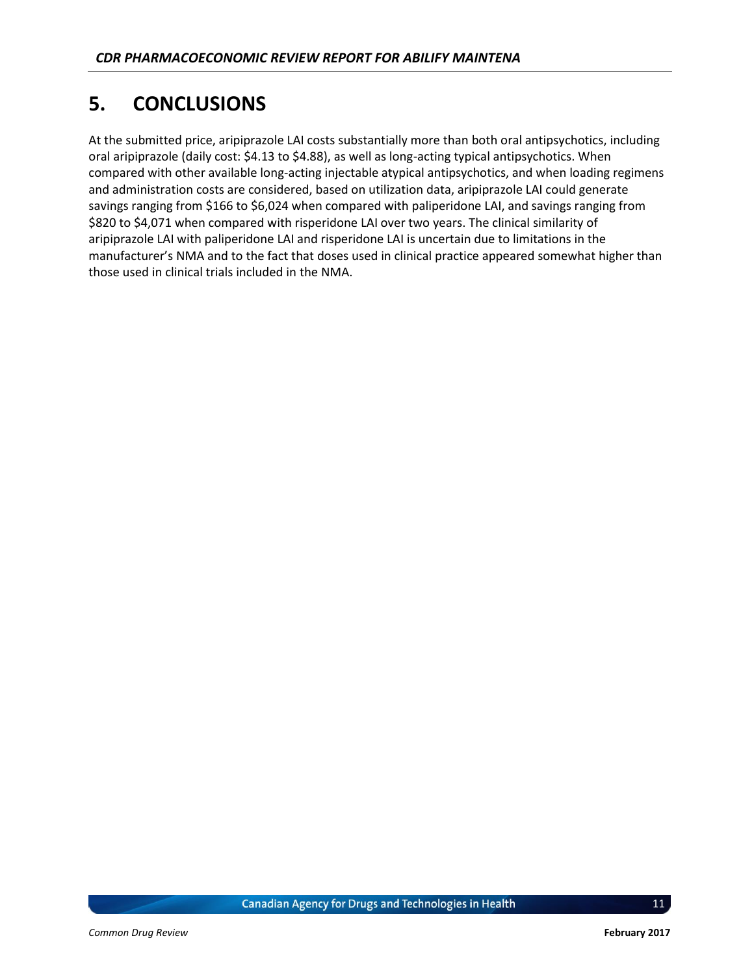# **5. CONCLUSIONS**

At the submitted price, aripiprazole LAI costs substantially more than both oral antipsychotics, including oral aripiprazole (daily cost: \$4.13 to \$4.88), as well as long-acting typical antipsychotics. When compared with other available long-acting injectable atypical antipsychotics, and when loading regimens and administration costs are considered, based on utilization data, aripiprazole LAI could generate savings ranging from \$166 to \$6,024 when compared with paliperidone LAI, and savings ranging from \$820 to \$4,071 when compared with risperidone LAI over two years. The clinical similarity of aripiprazole LAI with paliperidone LAI and risperidone LAI is uncertain due to limitations in the manufacturer's NMA and to the fact that doses used in clinical practice appeared somewhat higher than those used in clinical trials included in the NMA.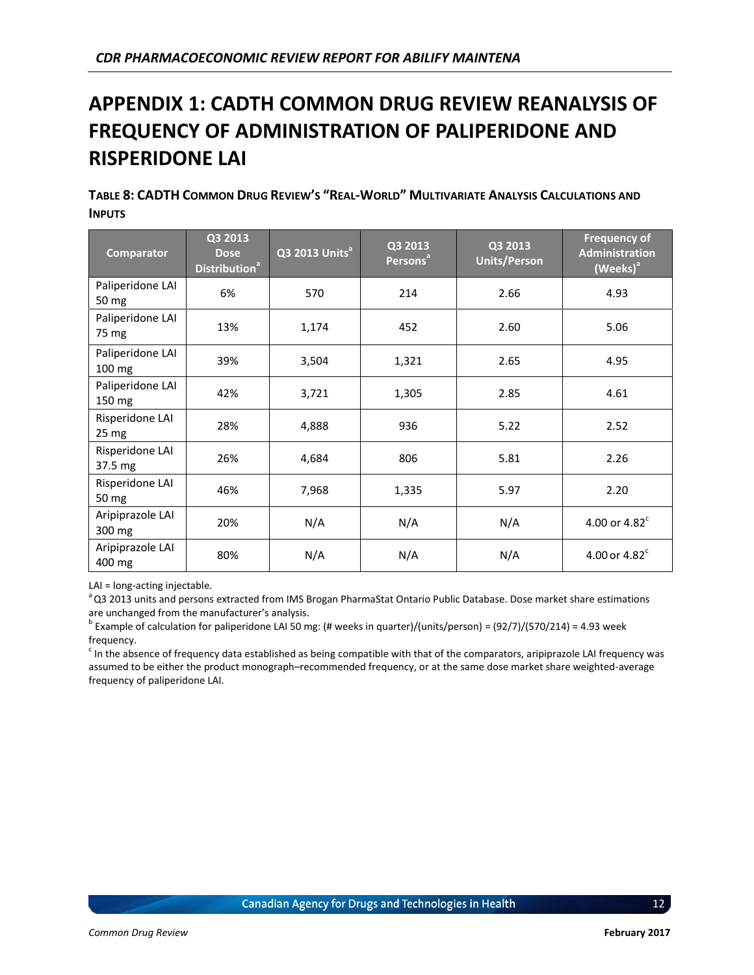# **APPENDIX 1: CADTH COMMON DRUG REVIEW REANALYSIS OF FREQUENCY OF ADMINISTRATION OF PALIPERIDONE AND RISPERIDONE LAI**

<span id="page-16-0"></span>TABLE 8: CADTH COMMON DRUG REVIEW'S "REAL-WORLD" MULTIVARIATE ANALYSIS CALCULATIONS AND **INPUTS**

| Comparator                         | Q3 2013<br><b>Dose</b><br>Distribution <sup>a</sup> | Q3 2013 Units <sup>a</sup> | Q3 2013<br>Persons <sup>a</sup> | Q3 2013<br><b>Units/Person</b> | <b>Frequency of</b><br><b>Administration</b><br>(Weeks) <sup>a</sup> |
|------------------------------------|-----------------------------------------------------|----------------------------|---------------------------------|--------------------------------|----------------------------------------------------------------------|
| Paliperidone LAI<br>50 mg          | 6%                                                  | 570                        | 214                             | 2.66                           | 4.93                                                                 |
| Paliperidone LAI<br>75 mg          | 13%                                                 | 1,174                      | 452                             | 2.60                           | 5.06                                                                 |
| Paliperidone LAI<br>100 mg         | 39%                                                 | 3,504                      | 1,321                           | 2.65                           | 4.95                                                                 |
| Paliperidone LAI<br>150 mg         | 42%                                                 | 3,721                      | 1,305                           | 2.85                           | 4.61                                                                 |
| Risperidone LAI<br>$25 \text{ mg}$ | 28%                                                 | 4,888                      | 936                             | 5.22                           | 2.52                                                                 |
| Risperidone LAI<br>37.5 mg         | 26%                                                 | 4,684                      | 806                             | 5.81                           | 2.26                                                                 |
| Risperidone LAI<br>50 mg           | 46%                                                 | 7,968                      | 1,335                           | 5.97                           | 2.20                                                                 |
| Aripiprazole LAI<br>300 mg         | 20%                                                 | N/A                        | N/A                             | N/A                            | 4.00 or $4.82^c$                                                     |
| Aripiprazole LAI<br>400 mg         | 80%                                                 | N/A                        | N/A                             | N/A                            | 4.00 or $4.82^c$                                                     |

LAI = long-acting injectable.

<sup>a</sup> Q3 2013 units and persons extracted from IMS Brogan PharmaStat Ontario Public Database. Dose market share estimations are unchanged from the manufacturer's analysis.

<sup>b</sup> Example of calculation for paliperidone LAI 50 mg: (# weeks in quarter)/(units/person) = (92/7)/(570/214) = 4.93 week frequency.

 $c$  In the absence of frequency data established as being compatible with that of the comparators, aripiprazole LAI frequency was assumed to be either the product monograph–recommended frequency, or at the same dose market share weighted-average frequency of paliperidone LAI.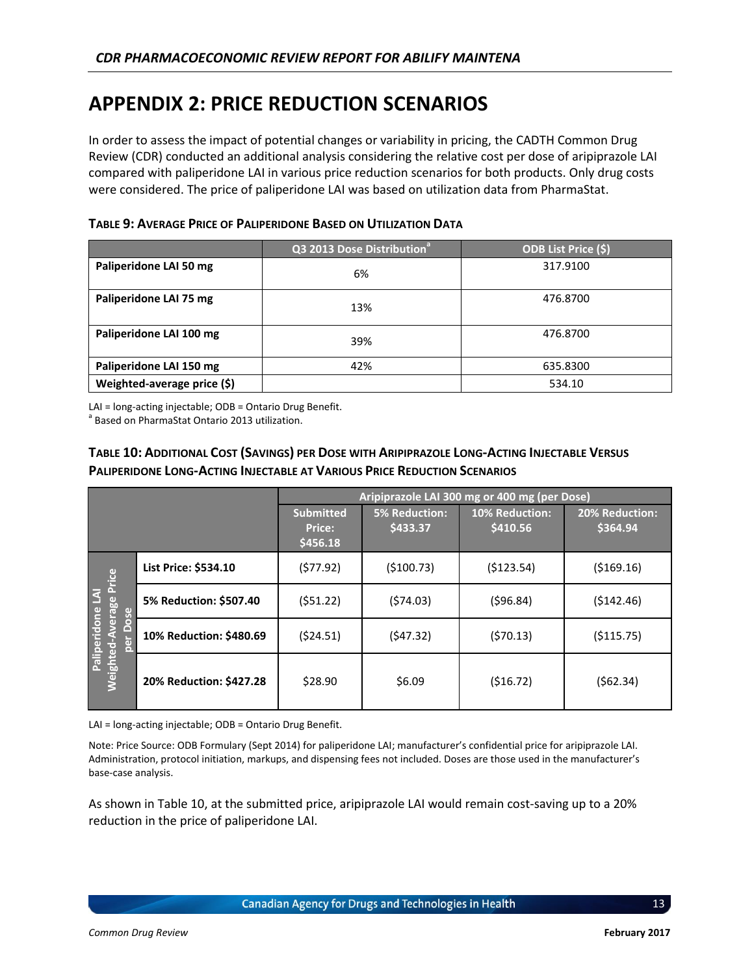### **APPENDIX 2: PRICE REDUCTION SCENARIOS**

In order to assess the impact of potential changes or variability in pricing, the CADTH Common Drug Review (CDR) conducted an additional analysis considering the relative cost per dose of aripiprazole LAI compared with paliperidone LAI in various price reduction scenarios for both products. Only drug costs were considered. The price of paliperidone LAI was based on utilization data from PharmaStat.

<span id="page-17-0"></span>

|                             | $Q3$ 2013 Dose Distribution <sup>a</sup> | ODB List Price (\$) |
|-----------------------------|------------------------------------------|---------------------|
| Paliperidone LAI 50 mg      | 6%                                       | 317.9100            |
| Paliperidone LAI 75 mg      | 13%                                      | 476.8700            |
| Paliperidone LAI 100 mg     | 39%                                      | 476.8700            |
| Paliperidone LAI 150 mg     | 42%                                      | 635.8300            |
| Weighted-average price (\$) |                                          | 534.10              |

LAI = long-acting injectable; ODB = Ontario Drug Benefit.

<sup>a</sup> Based on PharmaStat Ontario 2013 utilization.

#### <span id="page-17-1"></span>TABLE 10: ADDITIONAL COST (SAVINGS) PER DOSE WITH ARIPIPRAZOLE LONG-ACTING INJECTABLE VERSUS **PALIPERIDONE LONG-ACTING INJECTABLE AT VARIOUS PRICE REDUCTION SCENARIOS**

|                                                                                      |                         | Aripiprazole LAI 300 mg or 400 mg (per Dose)  |                                  |                            |                            |  |
|--------------------------------------------------------------------------------------|-------------------------|-----------------------------------------------|----------------------------------|----------------------------|----------------------------|--|
|                                                                                      |                         | <b>Submitted</b><br><b>Price:</b><br>\$456.18 | <b>5% Reduction:</b><br>\$433.37 | 10% Reduction:<br>\$410.56 | 20% Reduction:<br>\$364.94 |  |
|                                                                                      | List Price: \$534.10    | (577.92)                                      | ( \$100.73)                      | (\$123.54)                 | ( \$169.16)                |  |
| <b>Weighted-Average Price</b><br>$\overline{\mathbf{3}}$<br>Paliperidone<br>ber Dose | 5% Reduction: \$507.40  | (551.22)                                      | (574.03)                         | (596.84)                   | (5142.46)                  |  |
|                                                                                      | 10% Reduction: \$480.69 | (524.51)                                      | (547.32)                         | (570.13)                   | (5115.75)                  |  |
|                                                                                      | 20% Reduction: \$427.28 | \$28.90                                       | \$6.09                           | (\$16.72)                  | (562.34)                   |  |

LAI = long-acting injectable; ODB = Ontario Drug Benefit.

Note: Price Source: ODB Formulary (Sept 2014) for paliperidone LAI; manufacturer's confidential price for aripiprazole LAI. Administration, protocol initiation, markups, and dispensing fees not included. Doses are those used in the manufacturer's base-case analysis.

As shown in [Table 10,](#page-17-1) at the submitted price, aripiprazole LAI would remain cost-saving up to a 20% reduction in the price of paliperidone LAI.